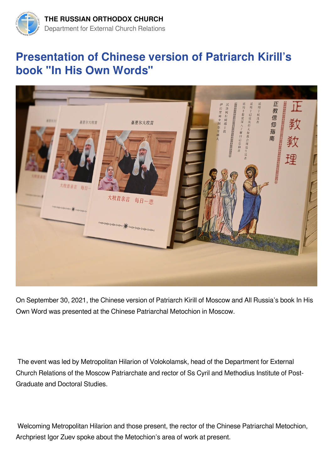

## **Presentation of Chinese version of Patriarch Kirill's book "In His Own Words"**



On September 30, 2021, the Chinese version of Patriarch Kirill of Moscow and All Russia's book In His Own Word was presented at the Chinese Patriarchal Metochion in Moscow.

 The event was led by Metropolitan Hilarion of Volokolamsk, head of the Department for External Church Relations of the Moscow Patriarchate and rector of Ss Cyril and Methodius Institute of Post-Graduate and Doctoral Studies.

 Welcoming Metropolitan Hilarion and those present, the rector of the Chinese Patriarchal Metochion, Archpriest Igor Zuev spoke about the Metochion's area of work at present.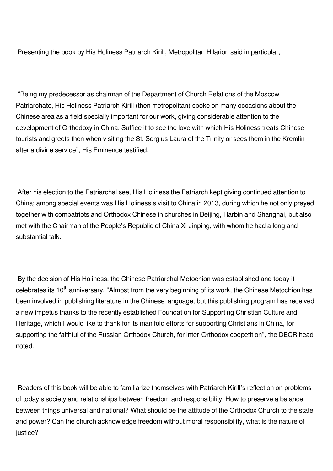Presenting the book by His Holiness Patriarch Kirill, Metropolitan Hilarion said in particular,

 "Being my predecessor as chairman of the Department of Church Relations of the Moscow Patriarchate, His Holiness Patriarch Kirill (then metropolitan) spoke on many occasions about the Chinese area as a field specially important for our work, giving considerable attention to the development of Orthodoxy in China. Suffice it to see the love with which His Holiness treats Chinese tourists and greets then when visiting the St. Sergius Laura of the Trinity or sees them in the Kremlin after a divine service", His Eminence testified.

 After his election to the Patriarchal see, His Holiness the Patriarch kept giving continued attention to China; among special events was His Holiness's visit to China in 2013, during which he not only prayed together with compatriots and Orthodox Chinese in churches in Beijing, Harbin and Shanghai, but also met with the Chairman of the People's Republic of China Xi Jinping, with whom he had a long and substantial talk.

 By the decision of His Holiness, the Chinese Patriarchal Metochion was established and today it celebrates its 10<sup>th</sup> anniversary. "Almost from the very beginning of its work, the Chinese Metochion has been involved in publishing literature in the Chinese language, but this publishing program has received a new impetus thanks to the recently established Foundation for Supporting Christian Culture and Heritage, which I would like to thank for its manifold efforts for supporting Christians in China, for supporting the faithful of the Russian Orthodox Church, for inter-Orthodox coopetition", the DECR head noted.

 Readers of this book will be able to familiarize themselves with Patriarch Kirill's reflection on problems of today's society and relationships between freedom and responsibility. How to preserve a balance between things universal and national? What should be the attitude of the Orthodox Church to the state and power? Can the church acknowledge freedom without moral responsibility, what is the nature of justice?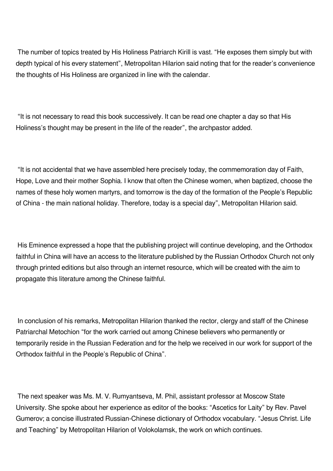The number of topics treated by His Holiness Patriarch Kirill is vast. "He exposes them simply but with depth typical of his every statement", Metropolitan Hilarion said noting that for the reader's convenience the thoughts of His Holiness are organized in line with the calendar.

 "It is not necessary to read this book successively. It can be read one chapter a day so that His Holiness's thought may be present in the life of the reader", the archpastor added.

 "It is not accidental that we have assembled here precisely today, the commemoration day of Faith, Hope, Love and their mother Sophia. I know that often the Chinese women, when baptized, choose the names of these holy women martyrs, and tomorrow is the day of the formation of the People's Republic of China - the main national holiday. Therefore, today is a special day", Metropolitan Hilarion said.

 His Eminence expressed a hope that the publishing project will continue developing, and the Orthodox faithful in China will have an access to the literature published by the Russian Orthodox Church not only through printed editions but also through an internet resource, which will be created with the aim to propagate this literature among the Chinese faithful.

 In conclusion of his remarks, Metropolitan Hilarion thanked the rector, clergy and staff of the Chinese Patriarchal Metochion "for the work carried out among Chinese believers who permanently or temporarily reside in the Russian Federation and for the help we received in our work for support of the Orthodox faithful in the People's Republic of China".

 The next speaker was Ms. M. V. Rumyantseva, M. Phil, assistant professor at Moscow State University. She spoke about her experience as editor of the books: "Ascetics for Laity" by Rev. Pavel Gumerov; a concise illustrated Russian-Chinese dictionary of Orthodox vocabulary. "Jesus Christ. Life and Teaching" by Metropolitan Hilarion of Volokolamsk, the work on which continues.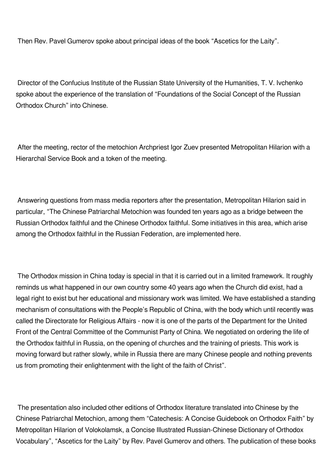Then Rev. Pavel Gumerov spoke about principal ideas of the book "Ascetics for the Laity".

 Director of the Confucius Institute of the Russian State University of the Humanities, T. V. Ivchenko spoke about the experience of the translation of "Foundations of the Social Concept of the Russian Orthodox Church" into Chinese.

 After the meeting, rector of the metochion Archpriest Igor Zuev presented Metropolitan Hilarion with a Hierarchal Service Book and a token of the meeting.

 Answering questions from mass media reporters after the presentation, Metropolitan Hilarion said in particular, "The Chinese Patriarchal Metochion was founded ten years ago as a bridge between the Russian Orthodox faithful and the Chinese Orthodox faithful. Some initiatives in this area, which arise among the Orthodox faithful in the Russian Federation, are implemented here.

 The Orthodox mission in China today is special in that it is carried out in a limited framework. It roughly reminds us what happened in our own country some 40 years ago when the Church did exist, had a legal right to exist but her educational and missionary work was limited. We have established a standing mechanism of consultations with the People's Republic of China, with the body which until recently was called the Directorate for Religious Affairs - now it is one of the parts of the Department for the United Front of the Central Committee of the Communist Party of China. We negotiated on ordering the life of the Orthodox faithful in Russia, on the opening of churches and the training of priests. This work is moving forward but rather slowly, while in Russia there are many Chinese people and nothing prevents us from promoting their enlightenment with the light of the faith of Christ".

 The presentation also included other editions of Orthodox literature translated into Chinese by the Chinese Patriarchal Metochion, among them "Catechesis: A Concise Guidebook on Orthodox Faith" by Metropolitan Hilarion of Volokolamsk, a Concise Illustrated Russian-Chinese Dictionary of Orthodox Vocabulary", "Ascetics for the Laity" by Rev. Pavel Gumerov and others. The publication of these books